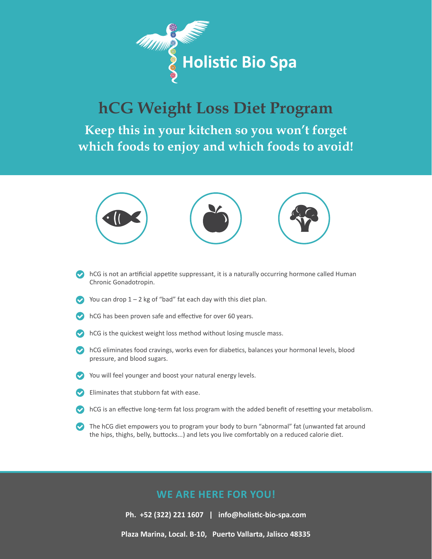

## **hCG Weight Loss Diet Program**

**Keep this in your kitchen so you won't forget which foods to enjoy and which foods to avoid!**



- $\bullet$  hCG is not an artificial appetite suppressant, it is a naturally occurring hormone called Human Chronic Gonadotropin.
- You can drop  $1 2$  kg of "bad" fat each day with this diet plan.
- $\triangleright$  hCG has been proven safe and effective for over 60 years.
- $\triangleright$  hCG is the quickest weight loss method without losing muscle mass.
- **Common EXT** hCG eliminates food cravings, works even for diabetics, balances your hormonal levels, blood pressure, and blood sugars.
- You will feel younger and boost your natural energy levels.
- Eliminates that stubborn fat with ease.  $\bullet$
- **•** hCG is an effective long-term fat loss program with the added benefit of resetting your metabolism.
- The hCG diet empowers you to program your body to burn "abnormal" fat (unwanted fat around the hips, thighs, belly, buttocks...) and lets you live comfortably on a reduced calorie diet.

### **WE ARE HERE FOR YOU!**

**Ph. +52 (322) 221 1607 | [info@holistic-bio-spa.com](mailto:info%40holistic-bio-spa.com?subject=)**

**Plaza Marina, Local. B-10, Puerto Vallarta, Jalisco 48335**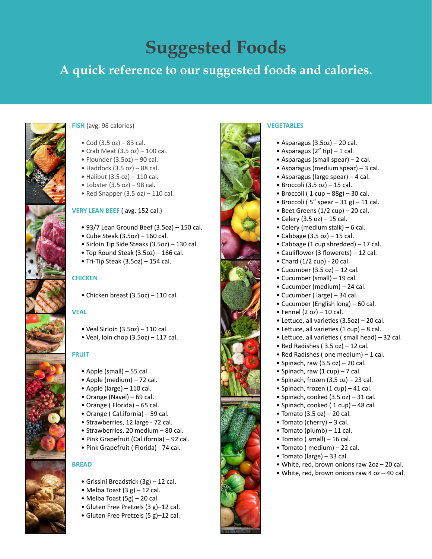# **Suggested Foods**

## **A quick reference to our suggested foods and calories.**



#### **FISH** (avg. 98 calories)

- Cod  $(3.5 oz) 83 cal.$
- Crab Meat  $(3.5 oz) 100 cal$ .
- $\bullet$  Flounder (3.5oz) 90 cal.
- $\bullet$  Haddock (3.5 oz) 88 cal.
- $\bullet$  Halibut (3.5 oz) 110 cal.
- $\bullet$  Lobster (3.5 oz) 98 cal.
- Red Snapper  $(3.5 oz) 110 cal$ .

#### **VERY LEAN BEEF** ( avg. 152 cal.)

- 93/7 Lean Ground Beef (3.5oz) 150 cal.
- $\bullet$  Cube Steak (3.5oz) 160 cal.
- Sirloin Tip Side Steaks (3.5oz) 130 cal.
- Top Round Steak (3.5oz) 166 cal.
- Tri-Tip Steak  $(3.5oz)$  154 cal.

#### **CHICKEN**

• Chicken breast (3.5oz) – 110 cal.

#### **VEAL**

- $\bullet$  Veal Sirloin (3.5oz) 110 cal.
- $\bullet$  Veal, loin chop (3.5oz) 117 cal.

#### **FRUIT**

- Apple (small) 55 cal.
- Apple (medium) 72 cal.
- Apple (large) 110 cal.
- Orange (Navel) 69 cal.
- Orange ( Florida) 65 cal.
- Orange ( Cal.ifornia) 59 cal.
- Strawberries, 12 large 72 cal.
- Strawberries, 20 medium 80 cal.
- Pink Grapefruit (Cal.ifornia) 92 cal.
- Pink Grapefruit ( Florida) 74 cal.

#### **BREAD**

- Grissini Breadstick (3g) 12 cal.
- Melba Toast  $(3 g) 12$  cal.
- Melba Toast (5g) 20 cal.
- Gluten Free Pretzels (3 g)–12 cal.
- Gluten Free Pretzels (5 g)–12 cal.



#### **VEGETABLES**

- $\bullet$  Asparagus (3.5oz) 20 cal.
- Asparagus  $(2"$  tip) 1 cal.
- Asparagus (small spear) 2 cal.
- Asparagus (medium spear) 3 cal.
- Asparagus (large spear) 4 cal.
- $\bullet$  Broccoli (3.5 oz) 15 cal.
- Broccoli ( $1 cup 88g$ ) 30 cal.
- Broccoli (5" spear  $-31$  g)  $-11$  cal.
- Beet Greens  $(1/2 \text{ cup}) 20 \text{ cal.}$
- Celery  $(3.5 oz) 15 cal.$
- Celery (medium stalk) 6 cal.
- Cabbage  $(3.5 oz) 15 cal.$
- Cabbage (1 cup shredded) 17 cal.
- Cauliflower (3 flowerets) 12 cal.
- Chard (1/2 cup) 20 cal.
- Cucumber  $(3.5 oz) 12 cal$ .
- Cucumber (small) 19 cal.
- Cucumber (medium) 24 cal.
- Cucumber ( large) 34 cal.
- Cucumber (English long) 60 cal.
- Fennel  $(2 oz) 10 cal$ .
- Lettuce, all varieties (3.5oz) 20 cal.
- Lettuce, all varieties (1 cup) 8 cal.
- Lettuce, all varieties ( small head) 32 cal.
- Red Radishes ( $3.5$  oz) 12 cal.
- Red Radishes ( one medium) 1 cal.
- Spinach, raw  $(3.5 \text{ oz}) 20 \text{ cal.}$
- Spinach, raw  $(1 \text{ cup}) 7 \text{ cal.}$
- Spinach, frozen (3.5 oz) 23 cal.
- Spinach, frozen (1 cup) 41 cal.
- Spinach, cooked  $(3.5 \text{ oz}) 31 \text{ cal.}$
- Spinach, cooked (1 cup) 48 cal.
- Tomato  $(3.5 oz) 20 cal$ .
- Tomato (cherry) 3 cal.
- Tomato (plumb) 11 cal.
- Tomato ( small) 16 cal.
- Tomato ( medium) 22 cal.
- Tomato (large) 33 cal.
- White, red, brown onions raw 2oz 20 cal.
- White, red, brown onions raw 4 oz 40 cal.
-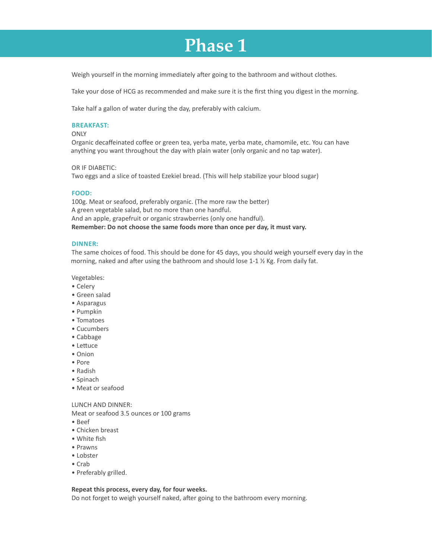## **Phase 1**

Weigh yourself in the morning immediately after going to the bathroom and without clothes.

Take your dose of HCG as recommended and make sure it is the first thing you digest in the morning.

Take half a gallon of water during the day, preferably with calcium.

#### **BREAKFAST:**

#### **ONLY**

Organic decaffeinated coffee or green tea, yerba mate, yerba mate, chamomile, etc. You can have anything you want throughout the day with plain water (only organic and no tap water).

OR IF DIABETIC:

Two eggs and a slice of toasted Ezekiel bread. (This will help stabilize your blood sugar)

#### **FOOD:**

100g. Meat or seafood, preferably organic. (The more raw the better) A green vegetable salad, but no more than one handful. And an apple, grapefruit or organic strawberries (only one handful). **Remember: Do not choose the same foods more than once per day, it must vary.** 

#### **DINNER:**

The same choices of food. This should be done for 45 days, you should weigh yourself every day in the morning, naked and after using the bathroom and should lose  $1-1 \frac{1}{2}$  Kg. From daily fat.

Vegetables:

- Celery
- Green salad
- Asparagus
- Pumpkin
- Tomatoes
- Cucumbers
- Cabbage
- Lettuce
- Onion
- Pore
- Radish
- Spinach
- Meat or seafood

#### LUNCH AND DINNER:

Meat or seafood 3.5 ounces or 100 grams

- Beef
- Chicken breast
- White fish
- Prawns
- Lobster
- Crab
- Preferably grilled.

#### **Repeat this process, every day, for four weeks.**

Do not forget to weigh yourself naked, after going to the bathroom every morning.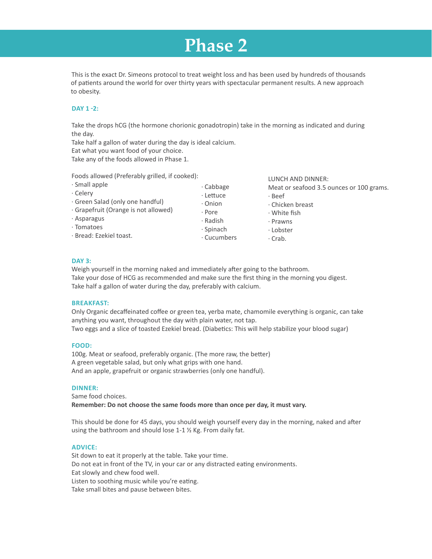## **Phase 2**

This is the exact Dr. Simeons protocol to treat weight loss and has been used by hundreds of thousands of patients around the world for over thirty years with spectacular permanent results. A new approach to obesity.

#### **DAY 1 -2:**

Take the drops hCG (the hormone chorionic gonadotropin) take in the morning as indicated and during the day.

LUNCH AND DINNER:

Take half a gallon of water during the day is ideal calcium.

Eat what you want food of your choice.

Take any of the foods allowed in Phase 1.

Foods allowed (Preferably grilled, if cooked):

| · Small apple                                                                                       | $\cdot$ Cabbage | Meat or seafood 3.5 ounces or 100 grams. |
|-----------------------------------------------------------------------------------------------------|-----------------|------------------------------------------|
| · Celery                                                                                            | · Lettuce       | · Beef                                   |
| · Green Salad (only one handful)<br>Grapefruit (Orange is not allowed)<br>· Asparagus<br>· Tomatoes | · Onion         | · Chicken breast                         |
|                                                                                                     | · Pore          | $\cdot$ White fish                       |
|                                                                                                     | · Radish        | · Prawns                                 |
|                                                                                                     | $\cdot$ Spinach | · Lobster                                |
| · Bread: Ezekiel toast.                                                                             | · Cucumbers     | $\cdot$ Crab.                            |
|                                                                                                     |                 |                                          |

#### **DAY 3:**

Weigh yourself in the morning naked and immediately after going to the bathroom. Take your dose of HCG as recommended and make sure the first thing in the morning you digest. Take half a gallon of water during the day, preferably with calcium.

#### **BREAKFAST:**

Only Organic decaffeinated coffee or green tea, yerba mate, chamomile everything is organic, can take anything you want, throughout the day with plain water, not tap. Two eggs and a slice of toasted Ezekiel bread. (Diabetics: This will help stabilize your blood sugar)

#### **FOOD:**

100g. Meat or seafood, preferably organic. (The more raw, the better) A green vegetable salad, but only what grips with one hand. And an apple, grapefruit or organic strawberries (only one handful).

#### **DINNER:**

Same food choices. **Remember: Do not choose the same foods more than once per day, it must vary.** 

This should be done for 45 days, you should weigh yourself every day in the morning, naked and after using the bathroom and should lose 1-1 ½ Kg. From daily fat.

#### **ADVICE:**

Sit down to eat it properly at the table. Take your time. Do not eat in front of the TV, in your car or any distracted eating environments. Eat slowly and chew food well. Listen to soothing music while you're eating. Take small bites and pause between bites.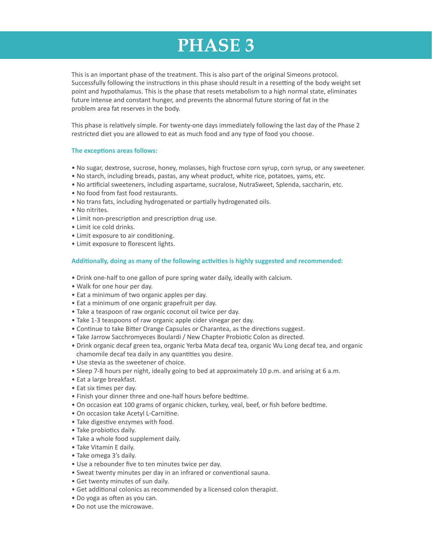# **PHASE 3**

This is an important phase of the treatment. This is also part of the original Simeons protocol. Successfully following the instructions in this phase should result in a resetting of the body weight set point and hypothalamus. This is the phase that resets metabolism to a high normal state, eliminates future intense and constant hunger, and prevents the abnormal future storing of fat in the problem area fat reserves in the body.

This phase is relatively simple. For twenty-one days immediately following the last day of the Phase 2 restricted diet you are allowed to eat as much food and any type of food you choose.

#### **The exceptions areas follows:**

- No sugar, dextrose, sucrose, honey, molasses, high fructose corn syrup, corn syrup, or any sweetener.
- No starch, including breads, pastas, any wheat product, white rice, potatoes, yams, etc.
- No artificial sweeteners, including aspartame, sucralose, NutraSweet, Splenda, saccharin, etc.
- No food from fast food restaurants.
- No trans fats, including hydrogenated or partially hydrogenated oils.
- No nitrites.
- Limit non-prescription and prescription drug use.
- Limit ice cold drinks.
- Limit exposure to air conditioning.
- Limit exposure to florescent lights.

#### **Additionally, doing as many of the following activities is highly suggested and recommended:**

- Drink one-half to one gallon of pure spring water daily, ideally with calcium.
- Walk for one hour per day.
- Eat a minimum of two organic apples per day.
- Eat a minimum of one organic grapefruit per day.
- Take a teaspoon of raw organic coconut oil twice per day.
- Take 1-3 teaspoons of raw organic apple cider vinegar per day.
- Continue to take Bitter Orange Capsules or Charantea, as the directions suggest.
- Take Jarrow Sacchromyeces Boulardi / New Chapter Probiotic Colon as directed.
- Drink organic decaf green tea, organic Yerba Mata decaf tea, organic Wu Long decaf tea, and organic chamomile decaf tea daily in any quantities you desire.
- Use stevia as the sweetener of choice.
- Sleep 7-8 hours per night, ideally going to bed at approximately 10 p.m. and arising at 6 a.m.
- Eat a large breakfast.
- Eat six times per day.
- Finish your dinner three and one-half hours before bedtime.
- On occasion eat 100 grams of organic chicken, turkey, veal, beef, or fish before bedtime.
- On occasion take Acetyl L-Carnitine.
- Take digestive enzymes with food.
- Take probiotics daily.
- Take a whole food supplement daily.
- Take Vitamin E daily.
- Take omega 3's daily.
- Use a rebounder five to ten minutes twice per day.
- Sweat twenty minutes per day in an infrared or conventional sauna.
- Get twenty minutes of sun daily.
- Get additional colonics as recommended by a licensed colon therapist.
- Do yoga as often as you can.
- Do not use the microwave.